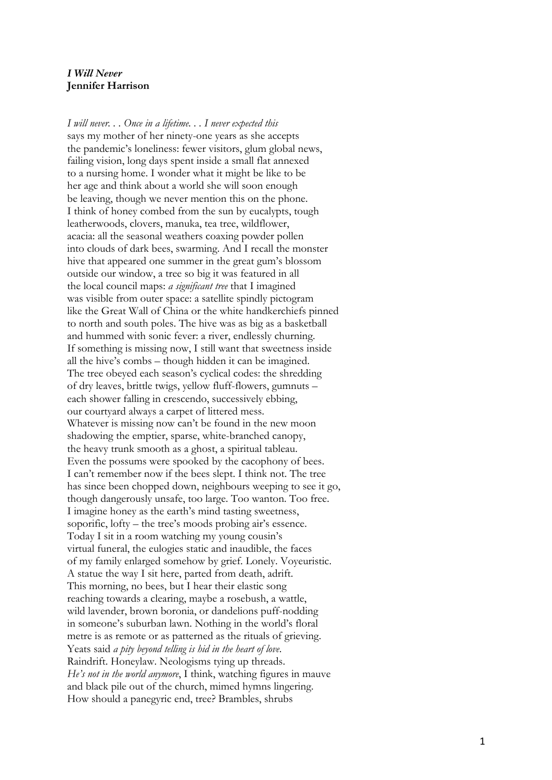## *I Will Never* **Jennifer Harrison**

*I will never. . . Once in a lifetim e. . . I never expected this* says my mother of her ninety -one years as she accepts the pandemic's loneliness: fewer visitors, glum global news, failing vision, long days spent inside a small flat annexed to a nursing home. I wonder what it might be like to be her age and think about a world she will soon enough be leaving, though we never mention this on the phone. I think of honey combed from the sun by eucalypts, tough leatherwoods, clovers, manuka, tea tree, wildflower, acacia: all the seasonal weathers coaxing powder pollen into clouds of dark bees , swarming. And I recall the monster hive that appeared one summer in the great gum's blossom outside our window, a tree so big it was featured in all the local council maps: *a significant tree* that I imagine d was visible from outer space: a satellite spindly pictogram like the Great Wall of China or the white handkerchiefs pinned to north and south poles. The hive was a s big as a basketball and hummed with sonic fever: a river, endlessly churning. If something is missing now, I still want that sweetness inside all the hive's combs – though hidden it can be imagined. The tree obeyed each season's cyclical codes: the sh redding of dry leaves, brittle twigs, yellow fluff-flowers, gumnuts – each shower falling in crescendo, successively ebbing, our courtyard always a carpet of littered mess. Whatever is missing now can't be found in the new moon shadowing the emptier, sparse , white -branched canopy, the heavy trunk smooth as a ghost, a spiritual tableau. Even the possums were spooked by the cacophony of bees. I can't remember now if the bees slept. I think not. The tree has since been chopped down, neighbours weeping to see it go , though dangerously unsafe, too large. Too wanton. Too free. I imagine honey as the earth's mind tasting sweetness, soporific, lofty – the tree's moods probing air's essence. Today I sit in a room watching my young cousin's virtual funeral, the eulogies static and inaudible, the faces of my family enlarged somehow by grief. Lonely. Voyeuristic. A statue the way I sit here, parted from death, adrift. This morning, no bees, but I hear their elastic song reaching towards a clearing, maybe a rosebush , a wattle, wild lavender, brown boronia, or dandelions puff-nodding in someone's suburban lawn. Nothing in the world's floral metre is as remote or as patterned as the ritual s of grieving. Yeats said *a pity beyond telling is hid in the heart of love*. Raindrift. Honeylaw. Neologisms tying up threads. *He's not in the world anymore*, I think, watching figures in mauve and black pile out of the church, mimed hymns lingering. How should a panegyric end, tree? Brambles, shrub s